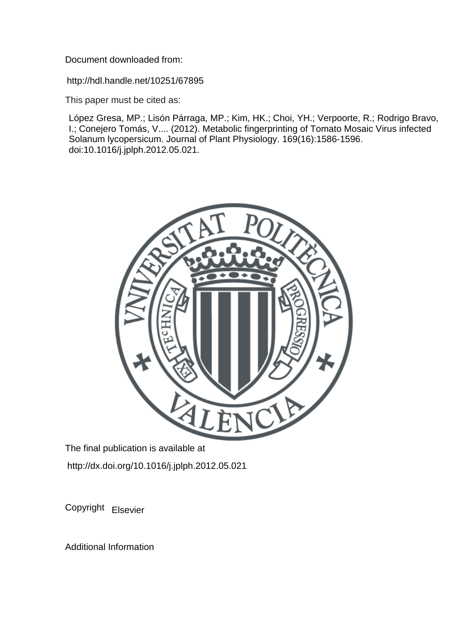Document downloaded from:

http://hdl.handle.net/10251/67895

This paper must be cited as:

López Gresa, MP.; Lisón Párraga, MP.; Kim, HK.; Choi, YH.; Verpoorte, R.; Rodrigo Bravo, I.; Conejero Tomás, V.... (2012). Metabolic fingerprinting of Tomato Mosaic Virus infected Solanum lycopersicum. Journal of Plant Physiology. 169(16):1586-1596. doi:10.1016/j.jplph.2012.05.021.



The final publication is available at http://dx.doi.org/10.1016/j.jplph.2012.05.021

Copyright Elsevier

Additional Information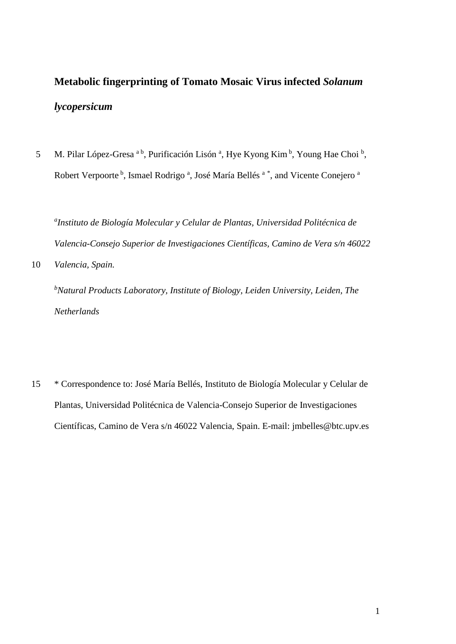# **Metabolic fingerprinting of Tomato Mosaic Virus infected** *Solanum lycopersicum*

5 M. Pilar López-Gresa <sup>a b</sup>, Purificación Lisón <sup>a</sup>, Hye Kyong Kim <sup>b</sup>, Young Hae Choi <sup>b</sup>, Robert Verpoorte <sup>b</sup>, Ismael Rodrigo <sup>a</sup>, José María Bellés <sup>a \*</sup>, and Vicente Conejero <sup>a</sup>

*a Instituto de Biología Molecular y Celular de Plantas, Universidad Politécnica de Valencia-Consejo Superior de Investigaciones Científicas, Camino de Vera s/n 46022* 

10 *Valencia, Spain.*

*b Natural Products Laboratory, Institute of Biology, Leiden University, Leiden, The Netherlands*

15 \* Correspondence to: José María Bellés, Instituto de Biología Molecular y Celular de Plantas, Universidad Politécnica de Valencia-Consejo Superior de Investigaciones Científicas, Camino de Vera s/n 46022 Valencia, Spain. E-mail: jmbelles@btc.upv.es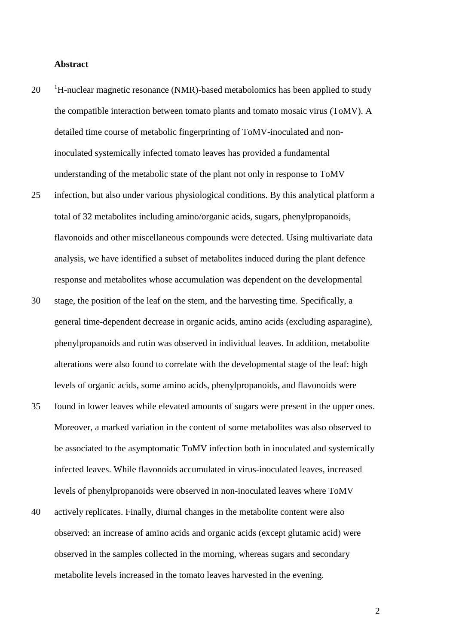#### **Abstract**

- $10^{-1}$ H-nuclear magnetic resonance (NMR)-based metabolomics has been applied to study the compatible interaction between tomato plants and tomato mosaic virus (ToMV). A detailed time course of metabolic fingerprinting of ToMV-inoculated and noninoculated systemically infected tomato leaves has provided a fundamental understanding of the metabolic state of the plant not only in response to ToMV
- 25 infection, but also under various physiological conditions. By this analytical platform a total of 32 metabolites including amino/organic acids, sugars, phenylpropanoids, flavonoids and other miscellaneous compounds were detected. Using multivariate data analysis, we have identified a subset of metabolites induced during the plant defence response and metabolites whose accumulation was dependent on the developmental
- 30 stage, the position of the leaf on the stem, and the harvesting time. Specifically, a general time-dependent decrease in organic acids, amino acids (excluding asparagine), phenylpropanoids and rutin was observed in individual leaves. In addition, metabolite alterations were also found to correlate with the developmental stage of the leaf: high levels of organic acids, some amino acids, phenylpropanoids, and flavonoids were
- 35 found in lower leaves while elevated amounts of sugars were present in the upper ones. Moreover, a marked variation in the content of some metabolites was also observed to be associated to the asymptomatic ToMV infection both in inoculated and systemically infected leaves. While flavonoids accumulated in virus-inoculated leaves, increased levels of phenylpropanoids were observed in non-inoculated leaves where ToMV
- 40 actively replicates. Finally, diurnal changes in the metabolite content were also observed: an increase of amino acids and organic acids (except glutamic acid) were observed in the samples collected in the morning, whereas sugars and secondary metabolite levels increased in the tomato leaves harvested in the evening.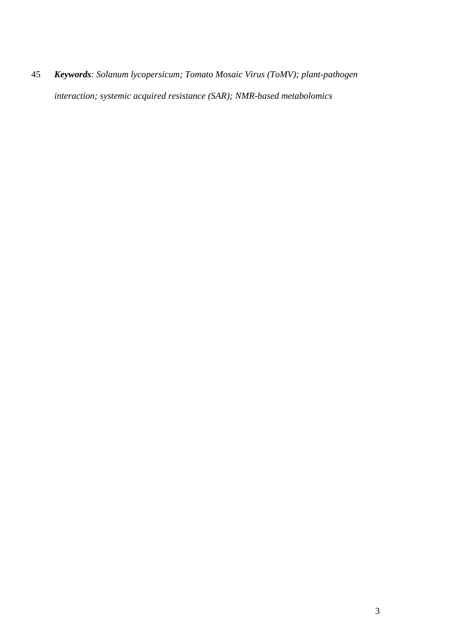*Keywords: Solanum lycopersicum; Tomato Mosaic Virus (ToMV); plant-pathogen interaction; systemic acquired resistance (SAR); NMR-based metabolomics*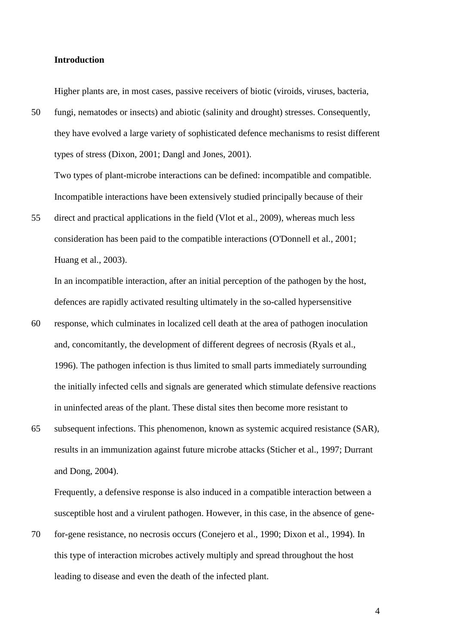#### **Introduction**

Higher plants are, in most cases, passive receivers of biotic (viroids, viruses, bacteria,

50 fungi, nematodes or insects) and abiotic (salinity and drought) stresses. Consequently, they have evolved a large variety of sophisticated defence mechanisms to resist different types of stress (Dixon, 2001; Dangl and Jones, 2001).

Two types of plant-microbe interactions can be defined: incompatible and compatible. Incompatible interactions have been extensively studied principally because of their

55 direct and practical applications in the field (Vlot et al., 2009), whereas much less consideration has been paid to the compatible interactions (O'Donnell et al., 2001; Huang et al., 2003).

In an incompatible interaction, after an initial perception of the pathogen by the host, defences are rapidly activated resulting ultimately in the so-called hypersensitive

- 60 response, which culminates in localized cell death at the area of pathogen inoculation and, concomitantly, the development of different degrees of necrosis (Ryals et al., 1996). The pathogen infection is thus limited to small parts immediately surrounding the initially infected cells and signals are generated which stimulate defensive reactions in uninfected areas of the plant. These distal sites then become more resistant to
- 65 subsequent infections. This phenomenon, known as systemic acquired resistance (SAR), results in an immunization against future microbe attacks (Sticher et al., 1997; Durrant and Dong, 2004).

Frequently, a defensive response is also induced in a compatible interaction between a susceptible host and a virulent pathogen. However, in this case, in the absence of gene-

70 for-gene resistance, no necrosis occurs (Conejero et al., 1990; Dixon et al., 1994). In this type of interaction microbes actively multiply and spread throughout the host leading to disease and even the death of the infected plant.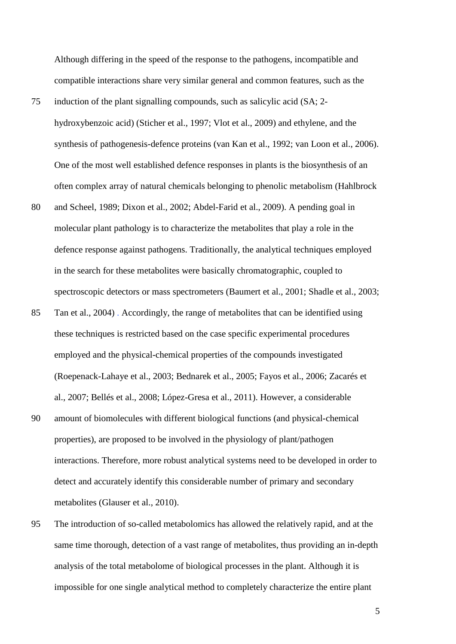Although differing in the speed of the response to the pathogens, incompatible and compatible interactions share very similar general and common features, such as the

- 75 induction of the plant signalling compounds, such as salicylic acid (SA; 2 hydroxybenzoic acid) (Sticher et al., 1997; Vlot et al., 2009) and ethylene, and the synthesis of pathogenesis-defence proteins (van Kan et al., 1992; van Loon et al., 2006). One of the most well established defence responses in plants is the biosynthesis of an often complex array of natural chemicals belonging to phenolic metabolism (Hahlbrock
- 80 and Scheel, 1989; Dixon et al., 2002; Abdel-Farid et al., 2009). A pending goal in molecular plant pathology is to characterize the metabolites that play a role in the defence response against pathogens. Traditionally, the analytical techniques employed in the search for these metabolites were basically chromatographic, coupled to spectroscopic detectors or mass spectrometers (Baumert et al., 2001; Shadle et al., 2003;
- 85 Tan et al., 2004) . Accordingly, the range of metabolites that can be identified using these techniques is restricted based on the case specific experimental procedures employed and the physical-chemical properties of the compounds investigated (Roepenack-Lahaye et al., 2003; Bednarek et al., 2005; Fayos et al., 2006; Zacarés et al., 2007; Bellés et al., 2008; López-Gresa et al., 2011). However, a considerable
- 90 amount of biomolecules with different biological functions (and physical-chemical properties), are proposed to be involved in the physiology of plant/pathogen interactions. Therefore, more robust analytical systems need to be developed in order to detect and accurately identify this considerable number of primary and secondary metabolites (Glauser et al., 2010).
- 95 The introduction of so-called metabolomics has allowed the relatively rapid, and at the same time thorough, detection of a vast range of metabolites, thus providing an in-depth analysis of the total metabolome of biological processes in the plant. Although it is impossible for one single analytical method to completely characterize the entire plant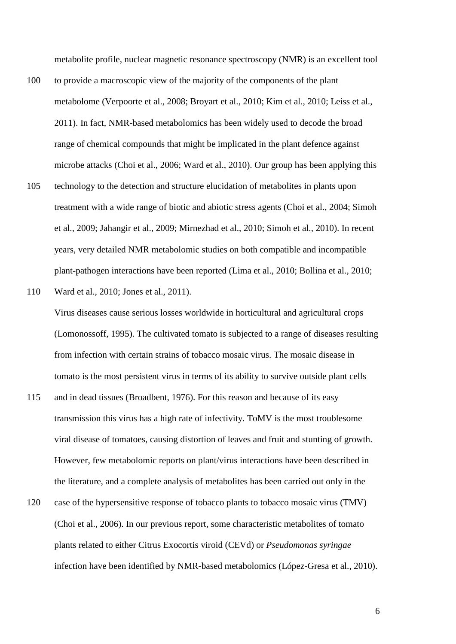metabolite profile, nuclear magnetic resonance spectroscopy (NMR) is an excellent tool

- 100 to provide a macroscopic view of the majority of the components of the plant metabolome (Verpoorte et al., 2008; Broyart et al., 2010; Kim et al., 2010; Leiss et al., 2011). In fact, NMR-based metabolomics has been widely used to decode the broad range of chemical compounds that might be implicated in the plant defence against microbe attacks (Choi et al., 2006; Ward et al., 2010). Our group has been applying this
- 105 technology to the detection and structure elucidation of metabolites in plants upon treatment with a wide range of biotic and abiotic stress agents (Choi et al., 2004; Simoh et al., 2009; Jahangir et al., 2009; Mirnezhad et al., 2010; Simoh et al., 2010). In recent years, very detailed NMR metabolomic studies on both compatible and incompatible plant-pathogen interactions have been reported (Lima et al., 2010; Bollina et al., 2010;

110 Ward et al., 2010; Jones et al., 2011).

Virus diseases cause serious losses worldwide in horticultural and agricultural crops (Lomonossoff, 1995). The cultivated tomato is subjected to a range of diseases resulting from infection with certain strains of tobacco mosaic virus. The mosaic disease in tomato is the most persistent virus in terms of its ability to survive outside plant cells

- 115 and in dead tissues (Broadbent, 1976). For this reason and because of its easy transmission this virus has a high rate of infectivity. ToMV is the most troublesome viral disease of tomatoes, causing distortion of leaves and fruit and stunting of growth. However, few metabolomic reports on plant/virus interactions have been described in the literature, and a complete analysis of metabolites has been carried out only in the
- 120 case of the hypersensitive response of tobacco plants to tobacco mosaic virus (TMV) (Choi et al., 2006). In our previous report, some characteristic metabolites of tomato plants related to either Citrus Exocortis viroid (CEVd) or *Pseudomonas syringae* infection have been identified by NMR-based metabolomics (López-Gresa et al., 2010).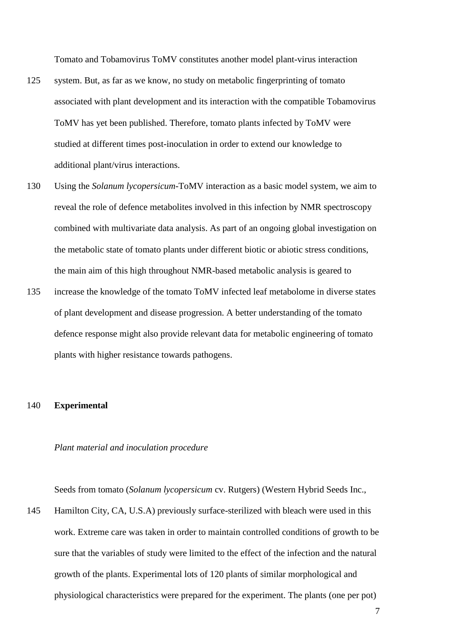Tomato and Tobamovirus ToMV constitutes another model plant-virus interaction

- 125 system. But, as far as we know, no study on metabolic fingerprinting of tomato associated with plant development and its interaction with the compatible Tobamovirus ToMV has yet been published. Therefore, tomato plants infected by ToMV were studied at different times post-inoculation in order to extend our knowledge to additional plant/virus interactions.
- 130 Using the *Solanum lycopersicum*-ToMV interaction as a basic model system, we aim to reveal the role of defence metabolites involved in this infection by NMR spectroscopy combined with multivariate data analysis. As part of an ongoing global investigation on the metabolic state of tomato plants under different biotic or abiotic stress conditions, the main aim of this high throughout NMR-based metabolic analysis is geared to
- 135 increase the knowledge of the tomato ToMV infected leaf metabolome in diverse states of plant development and disease progression. A better understanding of the tomato defence response might also provide relevant data for metabolic engineering of tomato plants with higher resistance towards pathogens.

#### 140 **Experimental**

#### *Plant material and inoculation procedure*

Seeds from tomato (*Solanum lycopersicum* cv. Rutgers) (Western Hybrid Seeds Inc.,

145 Hamilton City, CA, U.S.A) previously surface-sterilized with bleach were used in this work. Extreme care was taken in order to maintain controlled conditions of growth to be sure that the variables of study were limited to the effect of the infection and the natural growth of the plants. Experimental lots of 120 plants of similar morphological and physiological characteristics were prepared for the experiment. The plants (one per pot)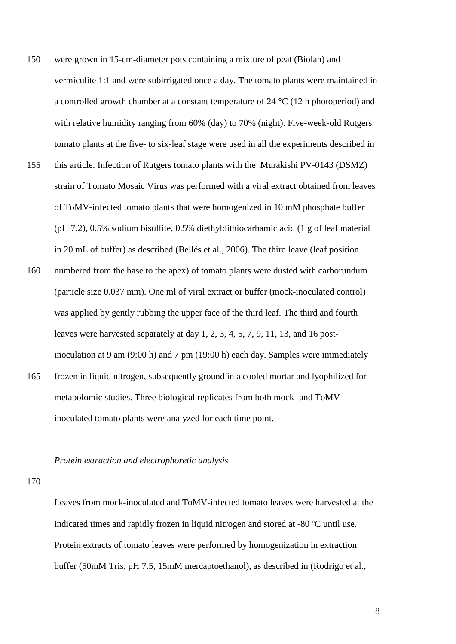- 150 were grown in 15-cm-diameter pots containing a mixture of peat (Biolan) and vermiculite 1:1 and were subirrigated once a day. The tomato plants were maintained in a controlled growth chamber at a constant temperature of 24 °C (12 h photoperiod) and with relative humidity ranging from 60% (day) to 70% (night). Five-week-old Rutgers tomato plants at the five- to six-leaf stage were used in all the experiments described in
- 155 this article. Infection of Rutgers tomato plants with the Murakishi PV-0143 (DSMZ) strain of Tomato Mosaic Virus was performed with a viral extract obtained from leaves of ToMV-infected tomato plants that were homogenized in 10 mM phosphate buffer (pH 7.2), 0.5% sodium bisulfite, 0.5% diethyldithiocarbamic acid (1 g of leaf material in 20 mL of buffer) as described (Bellés et al., 2006). The third leave (leaf position
- 160 numbered from the base to the apex) of tomato plants were dusted with carborundum (particle size 0.037 mm). One ml of viral extract or buffer (mock-inoculated control) was applied by gently rubbing the upper face of the third leaf. The third and fourth leaves were harvested separately at day 1, 2, 3, 4, 5, 7, 9, 11, 13, and 16 postinoculation at 9 am (9:00 h) and 7 pm (19:00 h) each day. Samples were immediately
- 165 frozen in liquid nitrogen, subsequently ground in a cooled mortar and lyophilized for metabolomic studies. Three biological replicates from both mock- and ToMVinoculated tomato plants were analyzed for each time point.

#### *Protein extraction and electrophoretic analysis*

#### 170

Leaves from mock-inoculated and ToMV-infected tomato leaves were harvested at the indicated times and rapidly frozen in liquid nitrogen and stored at -80 ºC until use. Protein extracts of tomato leaves were performed by homogenization in extraction buffer (50mM Tris, pH 7.5, 15mM mercaptoethanol), as described in (Rodrigo et al.,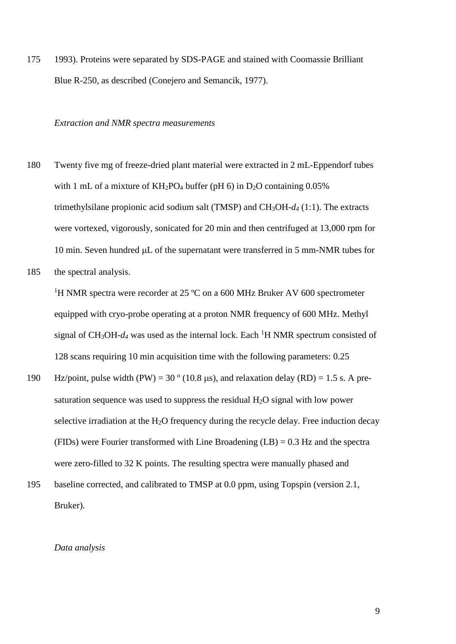175 1993). Proteins were separated by SDS-PAGE and stained with Coomassie Brilliant Blue R-250, as described (Conejero and Semancik, 1977).

#### *Extraction and NMR spectra measurements*

- 180 Twenty five mg of freeze-dried plant material were extracted in 2 mL-Eppendorf tubes with 1 mL of a mixture of  $KH_2PO_4$  buffer (pH 6) in D<sub>2</sub>O containing 0.05% trimethylsilane propionic acid sodium salt (TMSP) and CH3OH-*d4* (1:1). The extracts were vortexed, vigorously, sonicated for 20 min and then centrifuged at 13,000 rpm for 10 min. Seven hundred  $\mu$ L of the supernatant were transferred in 5 mm-NMR tubes for
- 185 the spectral analysis.

<sup>1</sup>H NMR spectra were recorder at 25  $^{\circ}$ C on a 600 MHz Bruker AV 600 spectrometer equipped with cryo-probe operating at a proton NMR frequency of 600 MHz. Methyl signal of CH<sub>3</sub>OH- $d_4$  was used as the internal lock. Each <sup>1</sup>H NMR spectrum consisted of 128 scans requiring 10 min acquisition time with the following parameters: 0.25

- Hz/point, pulse width (PW) = 30  $\degree$  (10.8 µs), and relaxation delay (RD) = 1.5 s. A presaturation sequence was used to suppress the residual H2O signal with low power selective irradiation at the  $H_2O$  frequency during the recycle delay. Free induction decay (FIDs) were Fourier transformed with Line Broadening (LB) = 0.3 Hz and the spectra were zero-filled to 32 K points. The resulting spectra were manually phased and
- 195 baseline corrected, and calibrated to TMSP at 0.0 ppm, using Topspin (version 2.1, Bruker).

#### *Data analysis*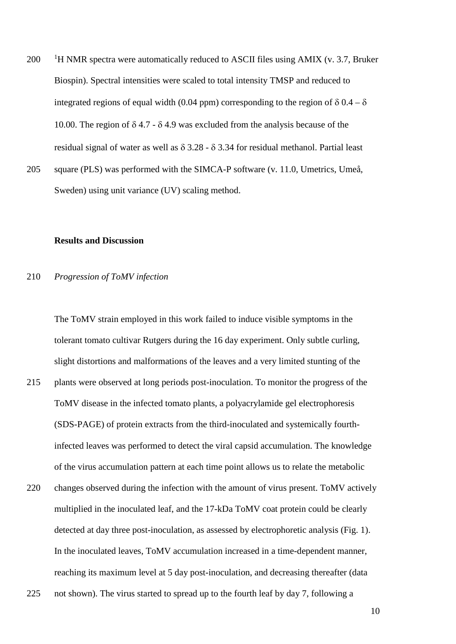$1200$  H NMR spectra were automatically reduced to ASCII files using AMIX (v. 3.7, Bruker Biospin). Spectral intensities were scaled to total intensity TMSP and reduced to integrated regions of equal width (0.04 ppm) corresponding to the region of  $\delta$  0.4 –  $\delta$ 10.00. The region of  $\delta$  4.7 -  $\delta$  4.9 was excluded from the analysis because of the residual signal of water as well as  $\delta$  3.28 -  $\delta$  3.34 for residual methanol. Partial least 205 square (PLS) was performed with the SIMCA-P software (v. 11.0, Umetrics, Umeå,

Sweden) using unit variance (UV) scaling method.

#### **Results and Discussion**

#### 210 *Progression of ToMV infection*

The ToMV strain employed in this work failed to induce visible symptoms in the tolerant tomato cultivar Rutgers during the 16 day experiment. Only subtle curling, slight distortions and malformations of the leaves and a very limited stunting of the 215 plants were observed at long periods post-inoculation. To monitor the progress of the ToMV disease in the infected tomato plants, a polyacrylamide gel electrophoresis (SDS-PAGE) of protein extracts from the third-inoculated and systemically fourthinfected leaves was performed to detect the viral capsid accumulation. The knowledge of the virus accumulation pattern at each time point allows us to relate the metabolic

- 220 changes observed during the infection with the amount of virus present. ToMV actively multiplied in the inoculated leaf, and the 17-kDa ToMV coat protein could be clearly detected at day three post-inoculation, as assessed by electrophoretic analysis (Fig. 1). In the inoculated leaves, ToMV accumulation increased in a time-dependent manner, reaching its maximum level at 5 day post-inoculation, and decreasing thereafter (data
- 225 not shown). The virus started to spread up to the fourth leaf by day 7, following a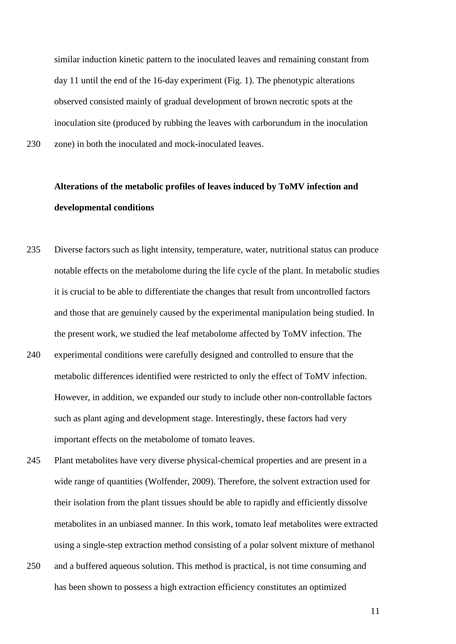similar induction kinetic pattern to the inoculated leaves and remaining constant from day 11 until the end of the 16-day experiment (Fig. 1). The phenotypic alterations observed consisted mainly of gradual development of brown necrotic spots at the inoculation site (produced by rubbing the leaves with carborundum in the inoculation 230 zone) in both the inoculated and mock-inoculated leaves.

## **Alterations of the metabolic profiles of leaves induced by ToMV infection and developmental conditions**

- 235 Diverse factors such as light intensity, temperature, water, nutritional status can produce notable effects on the metabolome during the life cycle of the plant. In metabolic studies it is crucial to be able to differentiate the changes that result from uncontrolled factors and those that are genuinely caused by the experimental manipulation being studied. In the present work, we studied the leaf metabolome affected by ToMV infection. The 240 experimental conditions were carefully designed and controlled to ensure that the
- metabolic differences identified were restricted to only the effect of ToMV infection. However, in addition, we expanded our study to include other non-controllable factors such as plant aging and development stage. Interestingly, these factors had very important effects on the metabolome of tomato leaves.
- 245 Plant metabolites have very diverse physical-chemical properties and are present in a wide range of quantities (Wolfender, 2009). Therefore, the solvent extraction used for their isolation from the plant tissues should be able to rapidly and efficiently dissolve metabolites in an unbiased manner. In this work, tomato leaf metabolites were extracted using a single-step extraction method consisting of a polar solvent mixture of methanol
- 250 and a buffered aqueous solution. This method is practical, is not time consuming and has been shown to possess a high extraction efficiency constitutes an optimized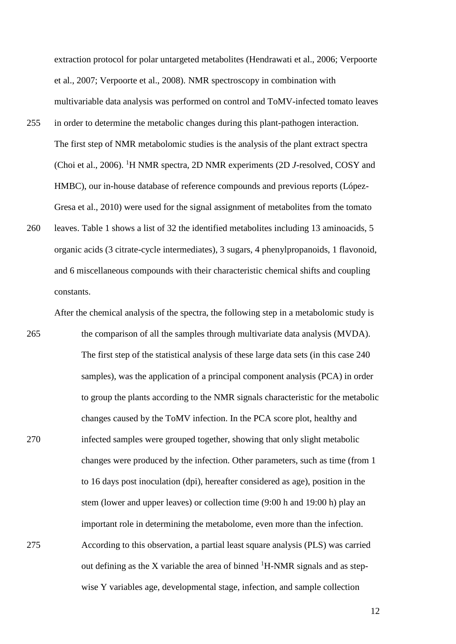extraction protocol for polar untargeted metabolites (Hendrawati et al., 2006; Verpoorte et al., 2007; Verpoorte et al., 2008). NMR spectroscopy in combination with multivariable data analysis was performed on control and ToMV-infected tomato leaves

- 255 in order to determine the metabolic changes during this plant-pathogen interaction. The first step of NMR metabolomic studies is the analysis of the plant extract spectra (Choi et al., 2006). <sup>1</sup>H NMR spectra, 2D NMR experiments (2D *J*-resolved, COSY and HMBC), our in-house database of reference compounds and previous reports (López-Gresa et al., 2010) were used for the signal assignment of metabolites from the tomato
- 260 leaves. Table 1 shows a list of 32 the identified metabolites including 13 aminoacids, 5 organic acids (3 citrate-cycle intermediates), 3 sugars, 4 phenylpropanoids, 1 flavonoid, and 6 miscellaneous compounds with their characteristic chemical shifts and coupling constants.

After the chemical analysis of the spectra, the following step in a metabolomic study is

265 the comparison of all the samples through multivariate data analysis (MVDA). The first step of the statistical analysis of these large data sets (in this case 240 samples), was the application of a principal component analysis (PCA) in order to group the plants according to the NMR signals characteristic for the metabolic changes caused by the ToMV infection. In the PCA score plot, healthy and 270 infected samples were grouped together, showing that only slight metabolic changes were produced by the infection. Other parameters, such as time (from 1 to 16 days post inoculation (dpi), hereafter considered as age), position in the stem (lower and upper leaves) or collection time (9:00 h and 19:00 h) play an important role in determining the metabolome, even more than the infection. 275 According to this observation, a partial least square analysis (PLS) was carried out defining as the X variable the area of binned  ${}^{1}$ H-NMR signals and as stepwise Y variables age, developmental stage, infection, and sample collection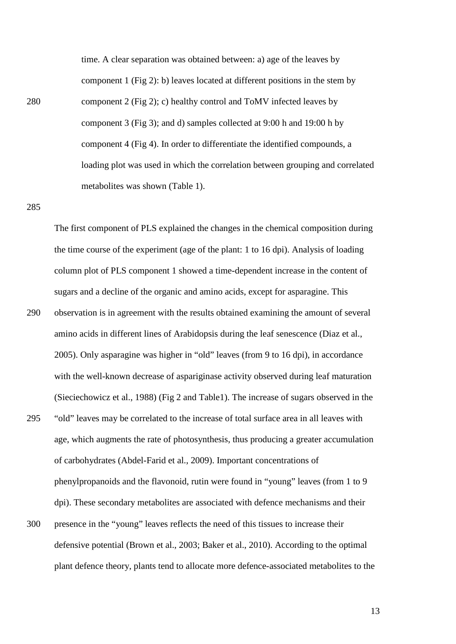time. A clear separation was obtained between: a) age of the leaves by component 1 (Fig 2): b) leaves located at different positions in the stem by 280 component 2 (Fig 2); c) healthy control and ToMV infected leaves by component 3 (Fig 3); and d) samples collected at 9:00 h and 19:00 h by component 4 (Fig 4). In order to differentiate the identified compounds, a loading plot was used in which the correlation between grouping and correlated metabolites was shown (Table 1).

285

The first component of PLS explained the changes in the chemical composition during the time course of the experiment (age of the plant: 1 to 16 dpi). Analysis of loading column plot of PLS component 1 showed a time-dependent increase in the content of sugars and a decline of the organic and amino acids, except for asparagine. This 290 observation is in agreement with the results obtained examining the amount of several amino acids in different lines of Arabidopsis during the leaf senescence (Diaz et al., 2005). Only asparagine was higher in "old" leaves (from 9 to 16 dpi), in accordance with the well-known decrease of aspariginase activity observed during leaf maturation (Sieciechowicz et al., 1988) (Fig 2 and Table1). The increase of sugars observed in the 295 "old" leaves may be correlated to the increase of total surface area in all leaves with age, which augments the rate of photosynthesis, thus producing a greater accumulation of carbohydrates (Abdel-Farid et al., 2009). Important concentrations of phenylpropanoids and the flavonoid, rutin were found in "young" leaves (from 1 to 9 dpi). These secondary metabolites are associated with defence mechanisms and their 300 presence in the "young" leaves reflects the need of this tissues to increase their defensive potential (Brown et al., 2003; Baker et al., 2010). According to the optimal plant defence theory, plants tend to allocate more defence-associated metabolites to the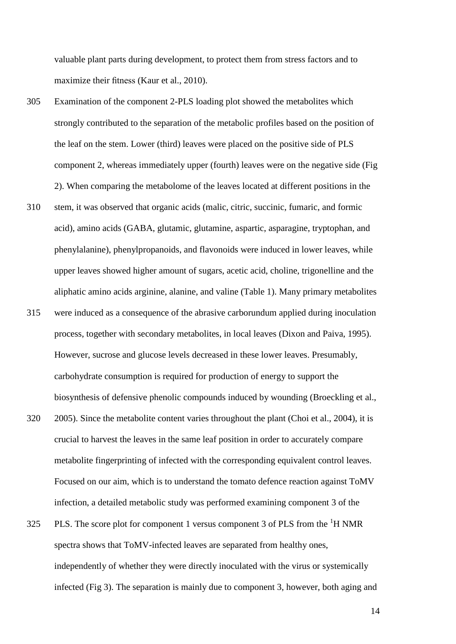valuable plant parts during development, to protect them from stress factors and to maximize their fitness (Kaur et al., 2010).

- 305 Examination of the component 2-PLS loading plot showed the metabolites which strongly contributed to the separation of the metabolic profiles based on the position of the leaf on the stem. Lower (third) leaves were placed on the positive side of PLS component 2, whereas immediately upper (fourth) leaves were on the negative side (Fig 2). When comparing the metabolome of the leaves located at different positions in the
- 310 stem, it was observed that organic acids (malic, citric, succinic, fumaric, and formic acid), amino acids (GABA, glutamic, glutamine, aspartic, asparagine, tryptophan, and phenylalanine), phenylpropanoids, and flavonoids were induced in lower leaves, while upper leaves showed higher amount of sugars, acetic acid, choline, trigonelline and the aliphatic amino acids arginine, alanine, and valine (Table 1). Many primary metabolites
- 315 were induced as a consequence of the abrasive carborundum applied during inoculation process, together with secondary metabolites, in local leaves (Dixon and Paiva, 1995). However, sucrose and glucose levels decreased in these lower leaves. Presumably, carbohydrate consumption is required for production of energy to support the biosynthesis of defensive phenolic compounds induced by wounding (Broeckling et al.,
- 320 2005). Since the metabolite content varies throughout the plant (Choi et al., 2004), it is crucial to harvest the leaves in the same leaf position in order to accurately compare metabolite fingerprinting of infected with the corresponding equivalent control leaves. Focused on our aim, which is to understand the tomato defence reaction against ToMV infection, a detailed metabolic study was performed examining component 3 of the
- 325 PLS. The score plot for component 1 versus component 3 of PLS from the  ${}^{1}H$  NMR spectra shows that ToMV-infected leaves are separated from healthy ones, independently of whether they were directly inoculated with the virus or systemically infected (Fig 3). The separation is mainly due to component 3, however, both aging and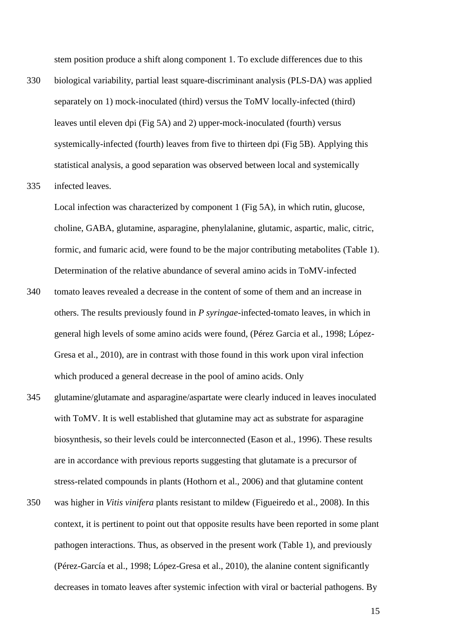stem position produce a shift along component 1. To exclude differences due to this

- 330 biological variability, partial least square-discriminant analysis (PLS-DA) was applied separately on 1) mock-inoculated (third) versus the ToMV locally-infected (third) leaves until eleven dpi (Fig 5A) and 2) upper-mock-inoculated (fourth) versus systemically-infected (fourth) leaves from five to thirteen dpi (Fig 5B). Applying this statistical analysis, a good separation was observed between local and systemically
- 335 infected leaves.

Local infection was characterized by component 1 (Fig 5A), in which rutin, glucose, choline, GABA, glutamine, asparagine, phenylalanine, glutamic, aspartic, malic, citric, formic, and fumaric acid, were found to be the major contributing metabolites (Table 1). Determination of the relative abundance of several amino acids in ToMV-infected

- 340 tomato leaves revealed a decrease in the content of some of them and an increase in others. The results previously found in *P syringae*-infected-tomato leaves, in which in general high levels of some amino acids were found, (Pérez Garcia et al., 1998; López-Gresa et al., 2010), are in contrast with those found in this work upon viral infection which produced a general decrease in the pool of amino acids. Only
- 345 glutamine/glutamate and asparagine/aspartate were clearly induced in leaves inoculated with ToMV. It is well established that glutamine may act as substrate for asparagine biosynthesis, so their levels could be interconnected (Eason et al., 1996). These results are in accordance with previous reports suggesting that glutamate is a precursor of stress-related compounds in plants (Hothorn et al., 2006) and that glutamine content
- 350 was higher in *Vitis vinifera* plants resistant to mildew (Figueiredo et al., 2008). In this context, it is pertinent to point out that opposite results have been reported in some plant pathogen interactions. Thus, as observed in the present work (Table 1), and previously (Pérez-García et al., 1998; López-Gresa et al., 2010), the alanine content significantly decreases in tomato leaves after systemic infection with viral or bacterial pathogens. By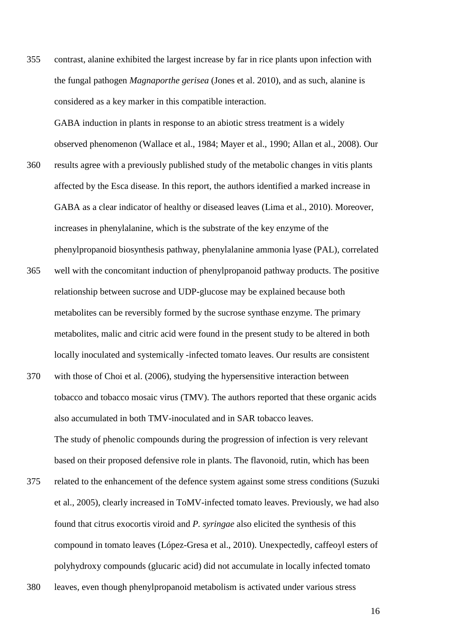355 contrast, alanine exhibited the largest increase by far in rice plants upon infection with the fungal pathogen *Magnaporthe gerisea* (Jones et al. 2010), and as such, alanine is considered as a key marker in this compatible interaction.

GABA induction in plants in response to an abiotic stress treatment is a widely observed phenomenon (Wallace et al., 1984; Mayer et al., 1990; Allan et al., 2008). Our

- 360 results agree with a previously published study of the metabolic changes in vitis plants affected by the Esca disease. In this report, the authors identified a marked increase in GABA as a clear indicator of healthy or diseased leaves (Lima et al., 2010). Moreover, increases in phenylalanine, which is the substrate of the key enzyme of the phenylpropanoid biosynthesis pathway, phenylalanine ammonia lyase (PAL), correlated
- 365 well with the concomitant induction of phenylpropanoid pathway products. The positive relationship between sucrose and UDP-glucose may be explained because both metabolites can be reversibly formed by the sucrose synthase enzyme. The primary metabolites, malic and citric acid were found in the present study to be altered in both locally inoculated and systemically -infected tomato leaves. Our results are consistent
- 370 with those of Choi et al. (2006), studying the hypersensitive interaction between tobacco and tobacco mosaic virus (TMV). The authors reported that these organic acids also accumulated in both TMV-inoculated and in SAR tobacco leaves. The study of phenolic compounds during the progression of infection is very relevant based on their proposed defensive role in plants. The flavonoid, rutin, which has been
- 375 related to the enhancement of the defence system against some stress conditions (Suzuki et al., 2005), clearly increased in ToMV-infected tomato leaves. Previously, we had also found that citrus exocortis viroid and *P. syringae* also elicited the synthesis of this compound in tomato leaves (López-Gresa et al., 2010). Unexpectedly, caffeoyl esters of polyhydroxy compounds (glucaric acid) did not accumulate in locally infected tomato
- 380 leaves, even though phenylpropanoid metabolism is activated under various stress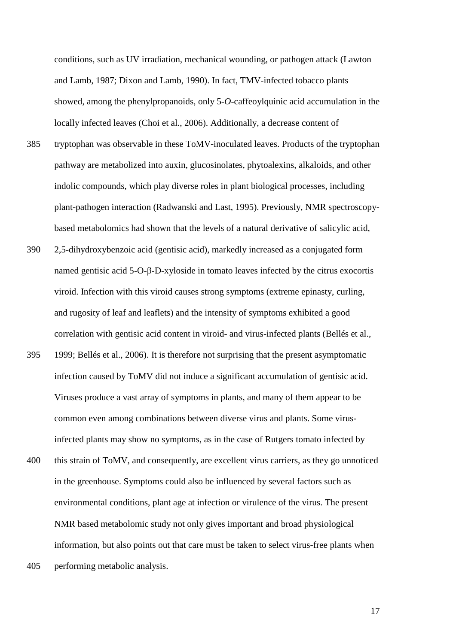conditions, such as UV irradiation, mechanical wounding, or pathogen attack (Lawton and Lamb, 1987; Dixon and Lamb, 1990). In fact, TMV-infected tobacco plants showed, among the phenylpropanoids, only 5-*O*-caffeoylquinic acid accumulation in the locally infected leaves (Choi et al., 2006). Additionally, a decrease content of

- 385 tryptophan was observable in these ToMV-inoculated leaves. Products of the tryptophan pathway are metabolized into auxin, glucosinolates, phytoalexins, alkaloids, and other indolic compounds, which play diverse roles in plant biological processes, including plant-pathogen interaction (Radwanski and Last, 1995). Previously, NMR spectroscopybased metabolomics had shown that the levels of a natural derivative of salicylic acid,
- 390 2,5-dihydroxybenzoic acid (gentisic acid), markedly increased as a conjugated form named gentisic acid 5-O-β-D-xyloside in tomato leaves infected by the citrus exocortis viroid. Infection with this viroid causes strong symptoms (extreme epinasty, curling, and rugosity of leaf and leaflets) and the intensity of symptoms exhibited a good correlation with gentisic acid content in viroid- and virus-infected plants (Bellés et al.,
- 395 1999; Bellés et al., 2006). It is therefore not surprising that the present asymptomatic infection caused by ToMV did not induce a significant accumulation of gentisic acid. Viruses produce a vast array of symptoms in plants, and many of them appear to be common even among combinations between diverse virus and plants. Some virusinfected plants may show no symptoms, as in the case of Rutgers tomato infected by
- 400 this strain of ToMV, and consequently, are excellent virus carriers, as they go unnoticed in the greenhouse. Symptoms could also be influenced by several factors such as environmental conditions, plant age at infection or virulence of the virus. The present NMR based metabolomic study not only gives important and broad physiological information, but also points out that care must be taken to select virus-free plants when
- 405 performing metabolic analysis.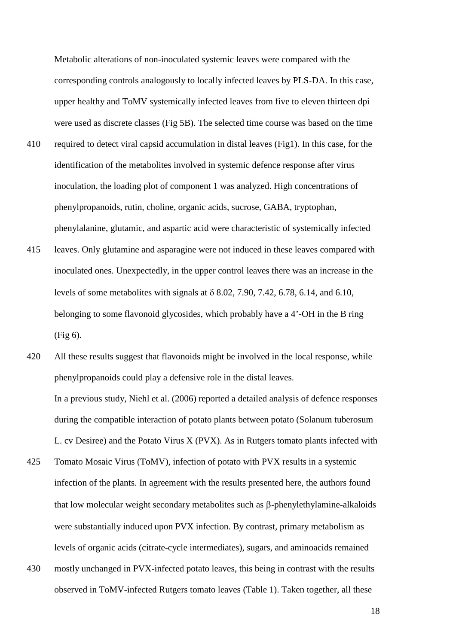Metabolic alterations of non-inoculated systemic leaves were compared with the corresponding controls analogously to locally infected leaves by PLS-DA. In this case, upper healthy and ToMV systemically infected leaves from five to eleven thirteen dpi were used as discrete classes (Fig 5B). The selected time course was based on the time

- 410 required to detect viral capsid accumulation in distal leaves (Fig1). In this case, for the identification of the metabolites involved in systemic defence response after virus inoculation, the loading plot of component 1 was analyzed. High concentrations of phenylpropanoids, rutin, choline, organic acids, sucrose, GABA, tryptophan, phenylalanine, glutamic, and aspartic acid were characteristic of systemically infected
- 415 leaves. Only glutamine and asparagine were not induced in these leaves compared with inoculated ones. Unexpectedly, in the upper control leaves there was an increase in the levels of some metabolites with signals at δ 8.02, 7.90, 7.42, 6.78, 6.14, and 6.10, belonging to some flavonoid glycosides, which probably have a 4'-OH in the B ring (Fig 6).
- 420 All these results suggest that flavonoids might be involved in the local response, while phenylpropanoids could play a defensive role in the distal leaves. In a previous study, Niehl et al. (2006) reported a detailed analysis of defence responses during the compatible interaction of potato plants between potato (Solanum tuberosum L. cv Desiree) and the Potato Virus X (PVX). As in Rutgers tomato plants infected with
- 425 Tomato Mosaic Virus (ToMV), infection of potato with PVX results in a systemic infection of the plants. In agreement with the results presented here, the authors found that low molecular weight secondary metabolites such as β-phenylethylamine-alkaloids were substantially induced upon PVX infection. By contrast, primary metabolism as levels of organic acids (citrate-cycle intermediates), sugars, and aminoacids remained
- 430 mostly unchanged in PVX-infected potato leaves, this being in contrast with the results observed in ToMV-infected Rutgers tomato leaves (Table 1). Taken together, all these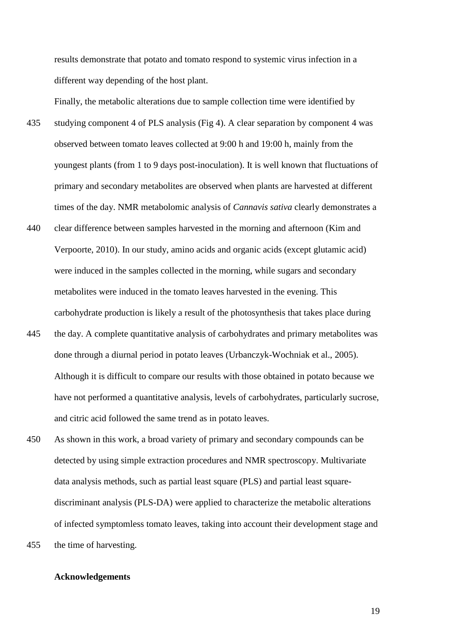results demonstrate that potato and tomato respond to systemic virus infection in a different way depending of the host plant.

Finally, the metabolic alterations due to sample collection time were identified by

- 435 studying component 4 of PLS analysis (Fig 4). A clear separation by component 4 was observed between tomato leaves collected at 9:00 h and 19:00 h, mainly from the youngest plants (from 1 to 9 days post-inoculation). It is well known that fluctuations of primary and secondary metabolites are observed when plants are harvested at different times of the day. NMR metabolomic analysis of *Cannavis sativa* clearly demonstrates a
- 440 clear difference between samples harvested in the morning and afternoon (Kim and Verpoorte, 2010). In our study, amino acids and organic acids (except glutamic acid) were induced in the samples collected in the morning, while sugars and secondary metabolites were induced in the tomato leaves harvested in the evening. This carbohydrate production is likely a result of the photosynthesis that takes place during
- 445 the day. A complete quantitative analysis of carbohydrates and primary metabolites was done through a diurnal period in potato leaves (Urbanczyk-Wochniak et al., 2005). Although it is difficult to compare our results with those obtained in potato because we have not performed a quantitative analysis, levels of carbohydrates, particularly sucrose, and citric acid followed the same trend as in potato leaves.
- 450 As shown in this work, a broad variety of primary and secondary compounds can be detected by using simple extraction procedures and NMR spectroscopy. Multivariate data analysis methods, such as partial least square (PLS) and partial least squarediscriminant analysis (PLS-DA) were applied to characterize the metabolic alterations of infected symptomless tomato leaves, taking into account their development stage and 455 the time of harvesting.

#### **Acknowledgements**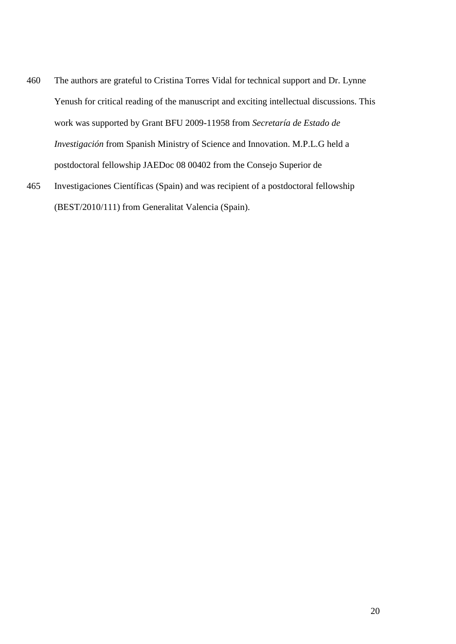- 460 The authors are grateful to Cristina Torres Vidal for technical support and Dr. Lynne Yenush for critical reading of the manuscript and exciting intellectual discussions. This work was supported by Grant BFU 2009-11958 from *Secretaría de Estado de Investigación* from Spanish Ministry of Science and Innovation. M.P.L.G held a postdoctoral fellowship JAEDoc 08 00402 from the Consejo Superior de
- 465 Investigaciones Científicas (Spain) and was recipient of a postdoctoral fellowship (BEST/2010/111) from Generalitat Valencia (Spain).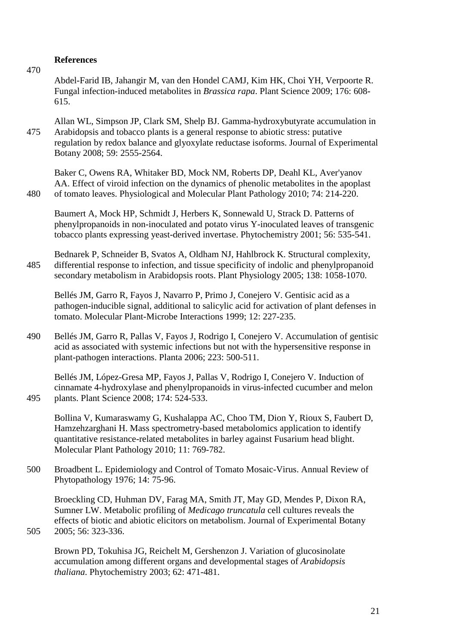#### **References**

470

Abdel-Farid IB, Jahangir M, van den Hondel CAMJ, Kim HK, Choi YH, Verpoorte R. Fungal infection-induced metabolites in *Brassica rapa*. Plant Science 2009; 176: 608- 615.

Allan WL, Simpson JP, Clark SM, Shelp BJ. Gamma-hydroxybutyrate accumulation in 475 Arabidopsis and tobacco plants is a general response to abiotic stress: putative regulation by redox balance and glyoxylate reductase isoforms. Journal of Experimental Botany 2008; 59: 2555-2564.

Baker C, Owens RA, Whitaker BD, Mock NM, Roberts DP, Deahl KL, Aver'yanov AA. Effect of viroid infection on the dynamics of phenolic metabolites in the apoplast 480 of tomato leaves. Physiological and Molecular Plant Pathology 2010; 74: 214-220.

Baumert A, Mock HP, Schmidt J, Herbers K, Sonnewald U, Strack D. Patterns of phenylpropanoids in non-inoculated and potato virus Y-inoculated leaves of transgenic tobacco plants expressing yeast-derived invertase. Phytochemistry 2001; 56: 535-541.

Bednarek P, Schneider B, Svatos A, Oldham NJ, Hahlbrock K. Structural complexity, 485 differential response to infection, and tissue specificity of indolic and phenylpropanoid secondary metabolism in Arabidopsis roots. Plant Physiology 2005; 138: 1058-1070.

Bellés JM, Garro R, Fayos J, Navarro P, Primo J, Conejero V. Gentisic acid as a pathogen-inducible signal, additional to salicylic acid for activation of plant defenses in tomato. Molecular Plant-Microbe Interactions 1999; 12: 227-235.

490 Bellés JM, Garro R, Pallas V, Fayos J, Rodrigo I, Conejero V. Accumulation of gentisic acid as associated with systemic infections but not with the hypersensitive response in plant-pathogen interactions. Planta 2006; 223: 500-511.

Bellés JM, López-Gresa MP, Fayos J, Pallas V, Rodrigo I, Conejero V. Induction of cinnamate 4-hydroxylase and phenylpropanoids in virus-infected cucumber and melon 495 plants. Plant Science 2008; 174: 524-533.

Bollina V, Kumaraswamy G, Kushalappa AC, Choo TM, Dion Y, Rioux S, Faubert D, Hamzehzarghani H. Mass spectrometry-based metabolomics application to identify quantitative resistance-related metabolites in barley against Fusarium head blight. Molecular Plant Pathology 2010; 11: 769-782.

500 Broadbent L. Epidemiology and Control of Tomato Mosaic-Virus. Annual Review of Phytopathology 1976; 14: 75-96.

Broeckling CD, Huhman DV, Farag MA, Smith JT, May GD, Mendes P, Dixon RA, Sumner LW. Metabolic profiling of *Medicago truncatula* cell cultures reveals the effects of biotic and abiotic elicitors on metabolism. Journal of Experimental Botany 505 2005; 56: 323-336.

Brown PD, Tokuhisa JG, Reichelt M, Gershenzon J. Variation of glucosinolate accumulation among different organs and developmental stages of *Arabidopsis thaliana*. Phytochemistry 2003; 62: 471-481.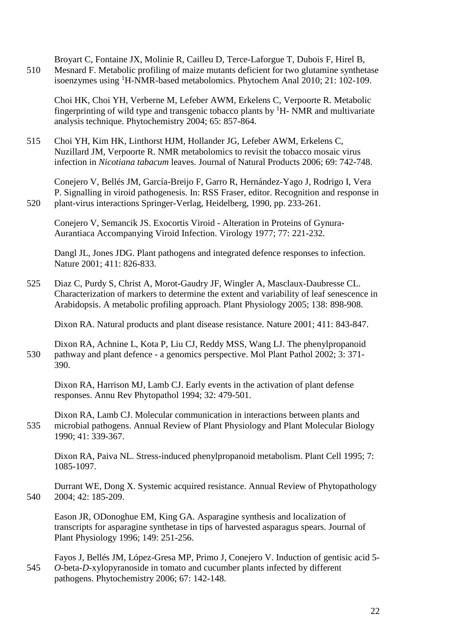Broyart C, Fontaine JX, Molinie R, Cailleu D, Terce-Laforgue T, Dubois F, Hirel B, 510 Mesnard F. Metabolic profiling of maize mutants deficient for two glutamine synthetase isoenzymes using <sup>1</sup>H-NMR-based metabolomics. Phytochem Anal 2010; 21: 102-109.

Choi HK, Choi YH, Verberne M, Lefeber AWM, Erkelens C, Verpoorte R. Metabolic fingerprinting of wild type and transgenic tobacco plants by  ${}^{1}H$ - NMR and multivariate analysis technique. Phytochemistry 2004; 65: 857-864.

515 Choi YH, Kim HK, Linthorst HJM, Hollander JG, Lefeber AWM, Erkelens C, Nuzillard JM, Verpoorte R. NMR metabolomics to revisit the tobacco mosaic virus infection in *Nicotiana tabacum* leaves. Journal of Natural Products 2006; 69: 742-748.

Conejero V, Bellés JM, García-Breijo F, Garro R, Hernández-Yago J, Rodrigo I, Vera P. Signalling in viroid pathogenesis. In: RSS Fraser, editor. Recognition and response in 520 plant-virus interactions Springer-Verlag, Heidelberg, 1990, pp. 233-261.

Conejero V, Semancik JS. Exocortis Viroid - Alteration in Proteins of Gynura-Aurantiaca Accompanying Viroid Infection. Virology 1977; 77: 221-232.

Dangl JL, Jones JDG. Plant pathogens and integrated defence responses to infection. Nature 2001; 411: 826-833.

525 Diaz C, Purdy S, Christ A, Morot-Gaudry JF, Wingler A, Masclaux-Daubresse CL. Characterization of markers to determine the extent and variability of leaf senescence in Arabidopsis. A metabolic profiling approach. Plant Physiology 2005; 138: 898-908.

Dixon RA. Natural products and plant disease resistance. Nature 2001; 411: 843-847.

Dixon RA, Achnine L, Kota P, Liu CJ, Reddy MSS, Wang LJ. The phenylpropanoid 530 pathway and plant defence - a genomics perspective. Mol Plant Pathol 2002; 3: 371- 390.

Dixon RA, Harrison MJ, Lamb CJ. Early events in the activation of plant defense responses. Annu Rev Phytopathol 1994; 32: 479-501.

Dixon RA, Lamb CJ. Molecular communication in interactions between plants and 535 microbial pathogens. Annual Review of Plant Physiology and Plant Molecular Biology 1990; 41: 339-367.

Dixon RA, Paiva NL. Stress-induced phenylpropanoid metabolism. Plant Cell 1995; 7: 1085-1097.

Durrant WE, Dong X. Systemic acquired resistance. Annual Review of Phytopathology 540 2004; 42: 185-209.

Eason JR, ODonoghue EM, King GA. Asparagine synthesis and localization of transcripts for asparagine synthetase in tips of harvested asparagus spears. Journal of Plant Physiology 1996; 149: 251-256.

Fayos J, Bellés JM, López-Gresa MP, Primo J, Conejero V. Induction of gentisic acid 5- 545 *O*-beta-*D*-xylopyranoside in tomato and cucumber plants infected by different pathogens. Phytochemistry 2006; 67: 142-148.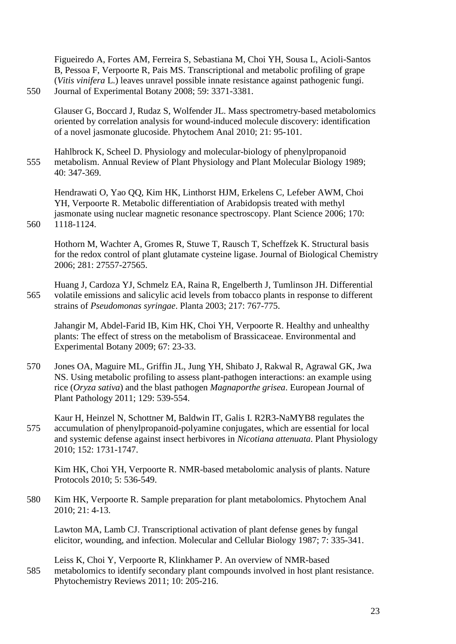Figueiredo A, Fortes AM, Ferreira S, Sebastiana M, Choi YH, Sousa L, Acioli-Santos B, Pessoa F, Verpoorte R, Pais MS. Transcriptional and metabolic profiling of grape (*Vitis vinifera* L.) leaves unravel possible innate resistance against pathogenic fungi. 550 Journal of Experimental Botany 2008; 59: 3371-3381.

Glauser G, Boccard J, Rudaz S, Wolfender JL. Mass spectrometry-based metabolomics oriented by correlation analysis for wound-induced molecule discovery: identification of a novel jasmonate glucoside. Phytochem Anal 2010; 21: 95-101.

Hahlbrock K, Scheel D. Physiology and molecular-biology of phenylpropanoid 555 metabolism. Annual Review of Plant Physiology and Plant Molecular Biology 1989; 40: 347-369.

Hendrawati O, Yao QQ, Kim HK, Linthorst HJM, Erkelens C, Lefeber AWM, Choi YH, Verpoorte R. Metabolic differentiation of Arabidopsis treated with methyl jasmonate using nuclear magnetic resonance spectroscopy. Plant Science 2006; 170: 560 1118-1124.

Hothorn M, Wachter A, Gromes R, Stuwe T, Rausch T, Scheffzek K. Structural basis for the redox control of plant glutamate cysteine ligase. Journal of Biological Chemistry 2006; 281: 27557-27565.

Huang J, Cardoza YJ, Schmelz EA, Raina R, Engelberth J, Tumlinson JH. Differential 565 volatile emissions and salicylic acid levels from tobacco plants in response to different strains of *Pseudomonas syringae*. Planta 2003; 217: 767-775.

Jahangir M, Abdel-Farid IB, Kim HK, Choi YH, Verpoorte R. Healthy and unhealthy plants: The effect of stress on the metabolism of Brassicaceae. Environmental and Experimental Botany 2009; 67: 23-33.

- 570 Jones OA, Maguire ML, Griffin JL, Jung YH, Shibato J, Rakwal R, Agrawal GK, Jwa NS. Using metabolic profiling to assess plant-pathogen interactions: an example using rice (*Oryza sativa*) and the blast pathogen *Magnaporthe grisea*. European Journal of Plant Pathology 2011; 129: 539-554.
- Kaur H, Heinzel N, Schottner M, Baldwin IT, Galis I. R2R3-NaMYB8 regulates the 575 accumulation of phenylpropanoid-polyamine conjugates, which are essential for local and systemic defense against insect herbivores in *Nicotiana attenuata*. Plant Physiology 2010; 152: 1731-1747.

Kim HK, Choi YH, Verpoorte R. NMR-based metabolomic analysis of plants. Nature Protocols 2010; 5: 536-549.

580 Kim HK, Verpoorte R. Sample preparation for plant metabolomics. Phytochem Anal 2010; 21: 4-13.

Lawton MA, Lamb CJ. Transcriptional activation of plant defense genes by fungal elicitor, wounding, and infection. Molecular and Cellular Biology 1987; 7: 335-341.

Leiss K, Choi Y, Verpoorte R, Klinkhamer P. An overview of NMR-based 585 metabolomics to identify secondary plant compounds involved in host plant resistance. Phytochemistry Reviews 2011; 10: 205-216.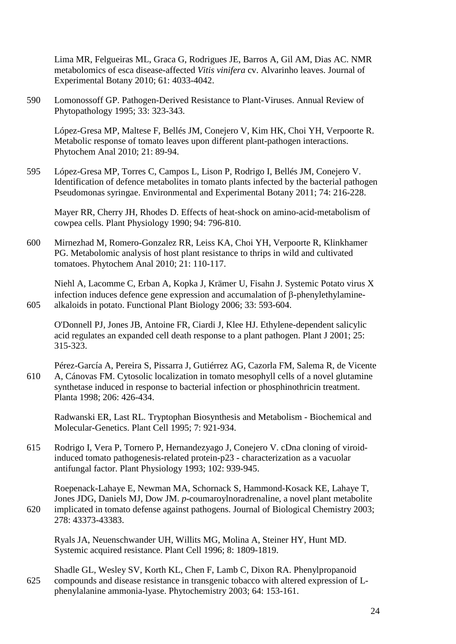Lima MR, Felgueiras ML, Graca G, Rodrigues JE, Barros A, Gil AM, Dias AC. NMR metabolomics of esca disease-affected *Vitis vinifera* cv. Alvarinho leaves. Journal of Experimental Botany 2010; 61: 4033-4042.

590 Lomonossoff GP. Pathogen-Derived Resistance to Plant-Viruses. Annual Review of Phytopathology 1995; 33: 323-343.

López-Gresa MP, Maltese F, Bellés JM, Conejero V, Kim HK, Choi YH, Verpoorte R. Metabolic response of tomato leaves upon different plant-pathogen interactions. Phytochem Anal 2010; 21: 89-94.

595 López-Gresa MP, Torres C, Campos L, Lison P, Rodrigo I, Bellés JM, Conejero V. Identification of defence metabolites in tomato plants infected by the bacterial pathogen Pseudomonas syringae. Environmental and Experimental Botany 2011; 74: 216-228.

Mayer RR, Cherry JH, Rhodes D. Effects of heat-shock on amino-acid-metabolism of cowpea cells. Plant Physiology 1990; 94: 796-810.

600 Mirnezhad M, Romero-Gonzalez RR, Leiss KA, Choi YH, Verpoorte R, Klinkhamer PG. Metabolomic analysis of host plant resistance to thrips in wild and cultivated tomatoes. Phytochem Anal 2010; 21: 110-117.

Niehl A, Lacomme C, Erban A, Kopka J, Krämer U, Fisahn J. Systemic Potato virus X infection induces defence gene expression and accumalation of β-phenylethylamine-605 alkaloids in potato. Functional Plant Biology 2006; 33: 593-604.

O'Donnell PJ, Jones JB, Antoine FR, Ciardi J, Klee HJ. Ethylene-dependent salicylic acid regulates an expanded cell death response to a plant pathogen. Plant J 2001; 25: 315-323.

Pérez-García A, Pereira S, Pissarra J, Gutiérrez AG, Cazorla FM, Salema R, de Vicente 610 A, Cánovas FM. Cytosolic localization in tomato mesophyll cells of a novel glutamine synthetase induced in response to bacterial infection or phosphinothricin treatment. Planta 1998; 206: 426-434.

Radwanski ER, Last RL. Tryptophan Biosynthesis and Metabolism - Biochemical and Molecular-Genetics. Plant Cell 1995; 7: 921-934.

615 Rodrigo I, Vera P, Tornero P, Hernandezyago J, Conejero V. cDna cloning of viroidinduced tomato pathogenesis-related protein-p23 - characterization as a vacuolar antifungal factor. Plant Physiology 1993; 102: 939-945.

Roepenack-Lahaye E, Newman MA, Schornack S, Hammond-Kosack KE, Lahaye T, Jones JDG, Daniels MJ, Dow JM. *p*-coumaroylnoradrenaline, a novel plant metabolite 620 implicated in tomato defense against pathogens. Journal of Biological Chemistry 2003; 278: 43373-43383.

Ryals JA, Neuenschwander UH, Willits MG, Molina A, Steiner HY, Hunt MD. Systemic acquired resistance. Plant Cell 1996; 8: 1809-1819.

Shadle GL, Wesley SV, Korth KL, Chen F, Lamb C, Dixon RA. Phenylpropanoid 625 compounds and disease resistance in transgenic tobacco with altered expression of Lphenylalanine ammonia-lyase. Phytochemistry 2003; 64: 153-161.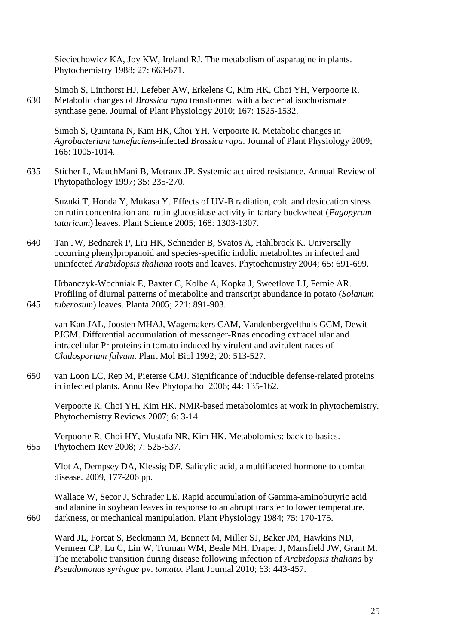Sieciechowicz KA, Joy KW, Ireland RJ. The metabolism of asparagine in plants. Phytochemistry 1988; 27: 663-671.

Simoh S, Linthorst HJ, Lefeber AW, Erkelens C, Kim HK, Choi YH, Verpoorte R. 630 Metabolic changes of *Brassica rapa* transformed with a bacterial isochorismate synthase gene. Journal of Plant Physiology 2010; 167: 1525-1532.

Simoh S, Quintana N, Kim HK, Choi YH, Verpoorte R. Metabolic changes in *Agrobacterium tumefaciens*-infected *Brassica rapa*. Journal of Plant Physiology 2009; 166: 1005-1014.

635 Sticher L, MauchMani B, Metraux JP. Systemic acquired resistance. Annual Review of Phytopathology 1997; 35: 235-270.

Suzuki T, Honda Y, Mukasa Y. Effects of UV-B radiation, cold and desiccation stress on rutin concentration and rutin glucosidase activity in tartary buckwheat (*Fagopyrum tataricum*) leaves. Plant Science 2005; 168: 1303-1307.

640 Tan JW, Bednarek P, Liu HK, Schneider B, Svatos A, Hahlbrock K. Universally occurring phenylpropanoid and species-specific indolic metabolites in infected and uninfected *Arabidopsis thaliana* roots and leaves. Phytochemistry 2004; 65: 691-699.

Urbanczyk-Wochniak E, Baxter C, Kolbe A, Kopka J, Sweetlove LJ, Fernie AR. Profiling of diurnal patterns of metabolite and transcript abundance in potato (*Solanum*  645 *tuberosum*) leaves. Planta 2005; 221: 891-903.

van Kan JAL, Joosten MHAJ, Wagemakers CAM, Vandenbergvelthuis GCM, Dewit PJGM. Differential accumulation of messenger-Rnas encoding extracellular and intracellular Pr proteins in tomato induced by virulent and avirulent races of *Cladosporium fulvum*. Plant Mol Biol 1992; 20: 513-527.

650 van Loon LC, Rep M, Pieterse CMJ. Significance of inducible defense-related proteins in infected plants. Annu Rev Phytopathol 2006; 44: 135-162.

Verpoorte R, Choi YH, Kim HK. NMR-based metabolomics at work in phytochemistry. Phytochemistry Reviews 2007; 6: 3-14.

Verpoorte R, Choi HY, Mustafa NR, Kim HK. Metabolomics: back to basics. 655 Phytochem Rev 2008; 7: 525-537.

Vlot A, Dempsey DA, Klessig DF. Salicylic acid, a multifaceted hormone to combat disease. 2009, 177-206 pp.

Wallace W, Secor J, Schrader LE. Rapid accumulation of Gamma-aminobutyric acid and alanine in soybean leaves in response to an abrupt transfer to lower temperature, 660 darkness, or mechanical manipulation. Plant Physiology 1984; 75: 170-175.

Ward JL, Forcat S, Beckmann M, Bennett M, Miller SJ, Baker JM, Hawkins ND, Vermeer CP, Lu C, Lin W, Truman WM, Beale MH, Draper J, Mansfield JW, Grant M. The metabolic transition during disease following infection of *Arabidopsis thaliana* by *Pseudomonas syringae* pv. *tomato*. Plant Journal 2010; 63: 443-457.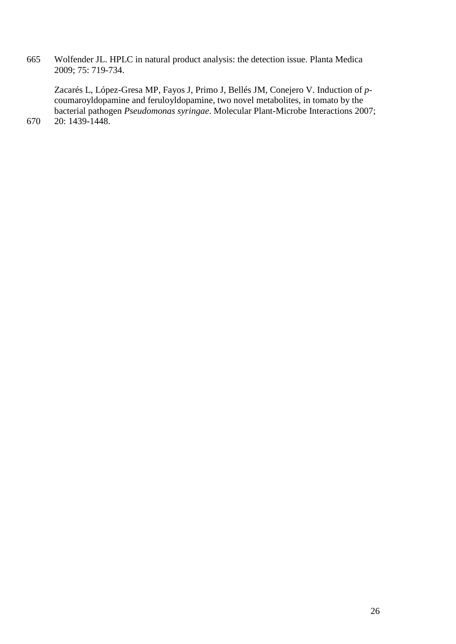665 Wolfender JL. HPLC in natural product analysis: the detection issue. Planta Medica 2009; 75: 719-734.

Zacarés L, López-Gresa MP, Fayos J, Primo J, Bellés JM, Conejero V. Induction of *p*coumaroyldopamine and feruloyldopamine, two novel metabolites, in tomato by the bacterial pathogen *Pseudomonas syringae*. Molecular Plant-Microbe Interactions 2007;

<sup>670</sup> 20: 1439-1448.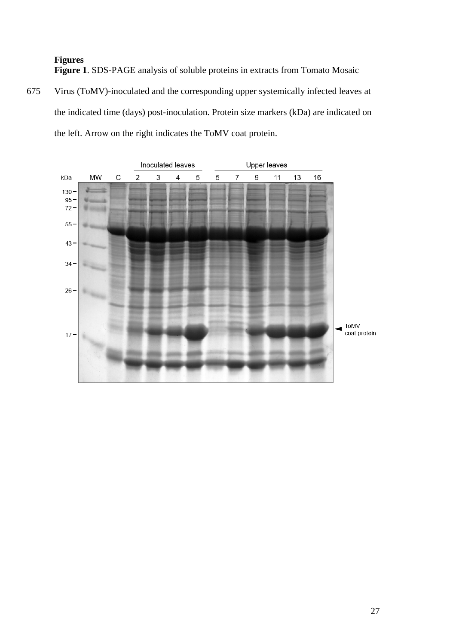**Figures Figure 1**. SDS-PAGE analysis of soluble proteins in extracts from Tomato Mosaic

675 Virus (ToMV)-inoculated and the corresponding upper systemically infected leaves at the indicated time (days) post-inoculation. Protein size markers (kDa) are indicated on the left. Arrow on the right indicates the ToMV coat protein.

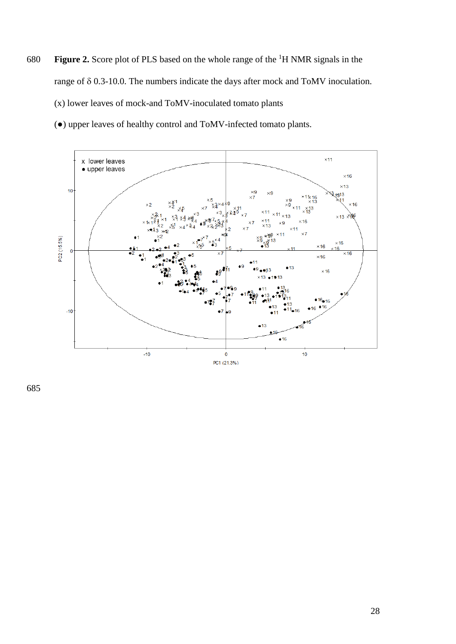**Figure 2.** Score plot of PLS based on the whole range of the <sup>1</sup>H NMR signals in the range of δ 0.3-10.0. The numbers indicate the days after mock and ToMV inoculation. (x) lower leaves of mock-and ToMV-inoculated tomato plants

(●) upper leaves of healthy control and ToMV-infected tomato plants.

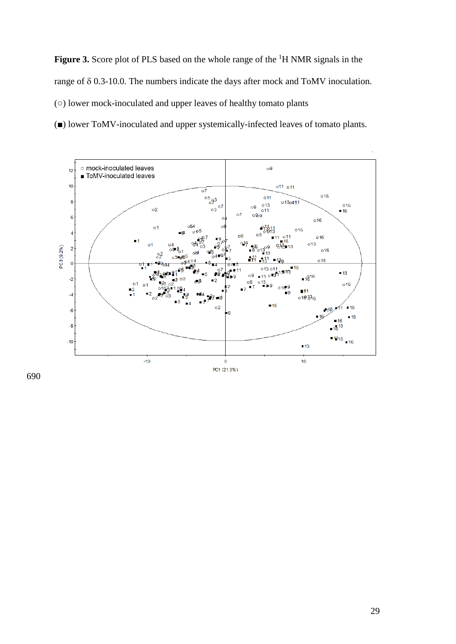**Figure 3.** Score plot of PLS based on the whole range of the <sup>1</sup>H NMR signals in the range of δ 0.3-10.0. The numbers indicate the days after mock and ToMV inoculation. (○) lower mock-inoculated and upper leaves of healthy tomato plants

(■) lower ToMV-inoculated and upper systemically-infected leaves of tomato plants.

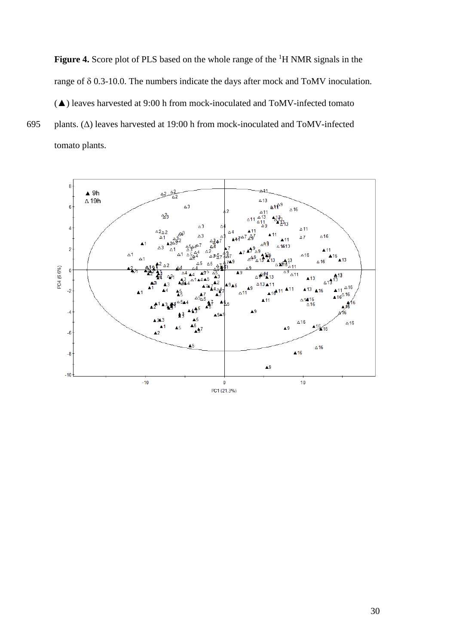**Figure 4.** Score plot of PLS based on the whole range of the <sup>1</sup>H NMR signals in the range of δ 0.3-10.0. The numbers indicate the days after mock and ToMV inoculation. (▲) leaves harvested at 9:00 h from mock-inoculated and ToMV-infected tomato 695 plants. (Δ) leaves harvested at 19:00 h from mock-inoculated and ToMV-infected tomato plants.

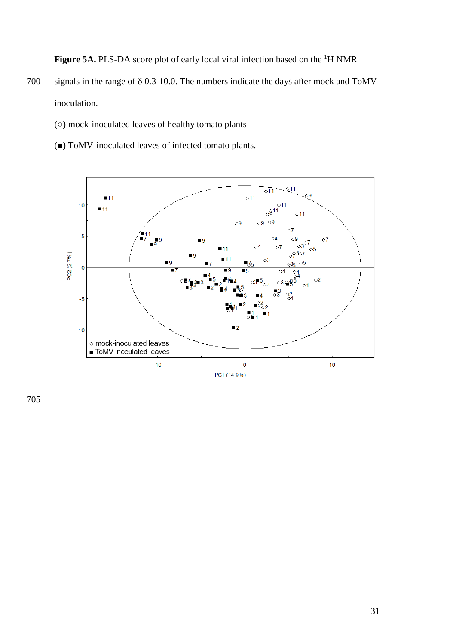**Figure 5A.** PLS-DA score plot of early local viral infection based on the <sup>1</sup>H NMR

- 700 signals in the range of δ 0.3-10.0. The numbers indicate the days after mock and ToMV inoculation.
	- (○) mock-inoculated leaves of healthy tomato plants
	- (■) ToMV-inoculated leaves of infected tomato plants.

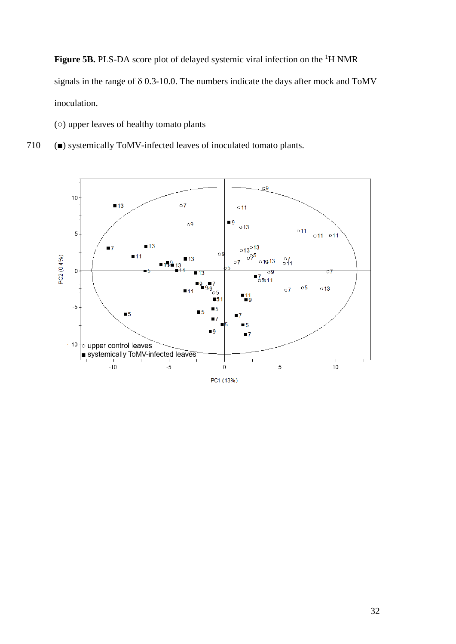**Figure 5B.** PLS-DA score plot of delayed systemic viral infection on the <sup>1</sup>H NMR signals in the range of δ 0.3-10.0. The numbers indicate the days after mock and ToMV inoculation.

- (○) upper leaves of healthy tomato plants
- 710 (■) systemically ToMV-infected leaves of inoculated tomato plants.

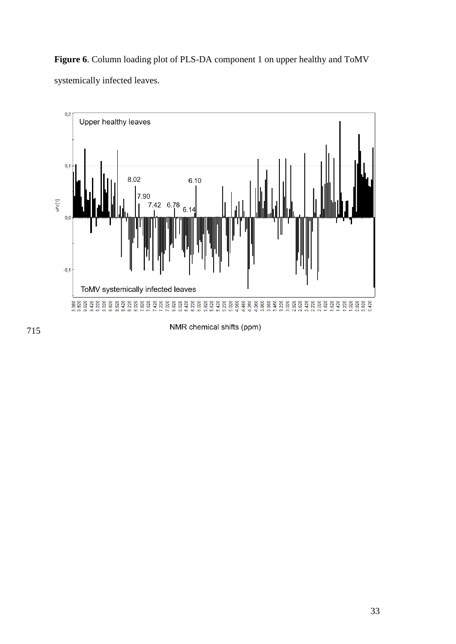**Figure 6**. Column loading plot of PLS-DA component 1 on upper healthy and ToMV systemically infected leaves.



NMR chemical shifts (ppm)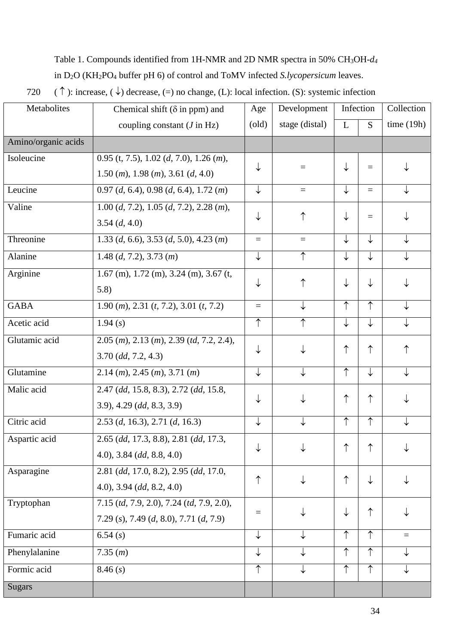### Table 1. Compounds identified from 1H-NMR and 2D NMR spectra in 50% CH3OH-*d4*

in D2O (KH2PO4 buffer pH 6) of control and ToMV infected *S.lycopersicum* leaves.

720 (  $\uparrow$  ): increase, ( $\downarrow$ ) decrease, (=) no change, (L): local infection. (S): systemic infection

| Metabolites         | Chemical shift ( $\delta$ in ppm) and                                           | Age                    | Development    | Infection  |              | Collection   |
|---------------------|---------------------------------------------------------------------------------|------------------------|----------------|------------|--------------|--------------|
|                     | coupling constant $(J \text{ in } Hz)$                                          | $\left($ old $\right)$ | stage (distal) | L          | S.           | time $(19h)$ |
| Amino/organic acids |                                                                                 |                        |                |            |              |              |
| Isoleucine          | $0.95$ (t, 7.5), 1.02 (d, 7.0), 1.26 (m),                                       |                        | $\equiv$       |            |              |              |
|                     | $1.50$ ( <i>m</i> ), $1.98$ ( <i>m</i> ), $3.61$ ( <i>d</i> , $4.0$ )           | ↓                      |                | ↓          | $\equiv$     |              |
| Leucine             | $0.97$ (d, 6.4), 0.98 (d, 6.4), 1.72 (m)                                        | ↓                      | $\equiv$       | ↓          | $=$          |              |
| Valine              | $1.00 (d, 7.2), 1.05 (d, 7.2), 2.28 (m),$                                       |                        |                |            |              |              |
|                     | 3.54(d, 4.0)                                                                    | ↓                      | ↑              |            | $=$          |              |
| Threonine           | 1.33 (d, 6.6), 3.53 (d, 5.0), 4.23 (m)                                          | $\equiv$               | $\equiv$       | ↓          | ↓            |              |
| Alanine             | 1.48 $(d, 7.2)$ , 3.73 $(m)$                                                    | ↓                      | $\uparrow$     | ↓          | ↓            |              |
| Arginine            | $1.67$ (m), $1.72$ (m), $3.24$ (m), $3.67$ (t,                                  | ↓                      | ↑              | ↓          |              |              |
|                     | 5.8)                                                                            |                        |                |            |              |              |
| <b>GABA</b>         | $1.90$ ( <i>m</i> ), $2.31$ ( <i>t</i> , $7.2$ ), $3.01$ ( <i>t</i> , $7.2$ )   | $=$                    |                | ↑          | ↑            |              |
| Acetic acid         | 1.94(s)                                                                         | $\uparrow$             | ↑              | ↓          | ↓            |              |
| Glutamic acid       | $2.05$ ( <i>m</i> ), $2.13$ ( <i>m</i> ), $2.39$ ( <i>td</i> , $7.2$ , $2.4$ ), |                        |                | ↑          | $\uparrow$   |              |
|                     | $3.70$ (dd, $7.2, 4.3$ )                                                        | ↓                      |                |            |              | ↑            |
| Glutamine           | $2.14$ ( <i>m</i> ), $2.45$ ( <i>m</i> ), $3.71$ ( <i>m</i> )                   | ↓                      |                | ↑          | ↓            |              |
| Malic acid          | 2.47 (dd, 15.8, 8.3), 2.72 (dd, 15.8,                                           |                        |                | ↑          | ↑            |              |
|                     | $(3.9), 4.29$ (dd, $(8.3, 3.9)$ )                                               | ↓                      |                |            |              |              |
| Citric acid         | $2.53$ (d, 16.3), 2.71 (d, 16.3)                                                | ↓                      | ↓              | ↑          | $\uparrow$   |              |
| Aspartic acid       | 2.65 (dd, 17.3, 8.8), 2.81 (dd, 17.3,                                           |                        |                | ↑          |              |              |
|                     | $(4.0), 3.84$ (dd, 8.8, 4.0)                                                    | ↓                      |                |            |              |              |
| Asparagine          | 2.81 (dd, 17.0, 8.2), 2.95 (dd, 17.0,                                           |                        |                | ↑          | $\downarrow$ |              |
|                     | $(4.0), 3.94$ (dd, 8.2, 4.0)                                                    | ↑                      |                |            |              |              |
| Tryptophan          | 7.15 (td, 7.9, 2.0), 7.24 (td, 7.9, 2.0),                                       |                        |                |            | ↑            |              |
|                     | 7.29 (s), 7.49 (d, 8.0), 7.71 (d, 7.9)                                          | $\equiv$               |                | ↓          |              |              |
| Fumaric acid        | 6.54(s)                                                                         | $\downarrow$           |                | $\uparrow$ | $\uparrow$   | $\equiv$     |
| Phenylalanine       | 7.35(m)                                                                         | $\downarrow$           |                | $\uparrow$ | $\uparrow$   |              |
| Formic acid         | 8.46(s)                                                                         | $\uparrow$             |                | ↑          | $\uparrow$   |              |
| <b>Sugars</b>       |                                                                                 |                        |                |            |              |              |